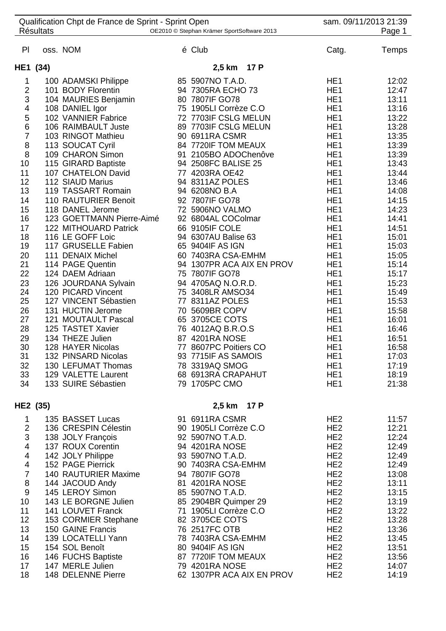|                               | <b>Résultats</b> | Qualification Chpt de France de Sprint - Sprint Open | OE2010 © Stephan Krämer SportSoftware 2013 |                                    |                                    | sam. 09/11/2013 21:39<br>Page 1 |
|-------------------------------|------------------|------------------------------------------------------|--------------------------------------------|------------------------------------|------------------------------------|---------------------------------|
| PI                            |                  | oss. NOM                                             | é Club                                     |                                    | Catg.                              | Temps                           |
| HE1 (34)                      |                  |                                                      | 2,5 km 17 P                                |                                    |                                    |                                 |
| 1                             |                  | 100 ADAMSKI Philippe                                 | 85 5907NO T.A.D.                           |                                    | HE <sub>1</sub>                    | 12:02                           |
| $\mathbf 2$                   |                  | 101 BODY Florentin                                   | 94 7305RA ECHO 73                          | HE <sub>1</sub>                    |                                    | 12:47                           |
| 3                             |                  | 104 MAURIES Benjamin                                 | 80 7807IF GO78                             | HE <sub>1</sub>                    |                                    | 13:11                           |
| 4                             |                  | 108 DANIEL Igor                                      | 75 1905LI Corrèze C.O                      | HE <sub>1</sub>                    |                                    | 13:16                           |
| 5                             |                  | 102 VANNIER Fabrice                                  | 72 7703IF CSLG MELUN                       | HE <sub>1</sub>                    |                                    | 13:22                           |
| $\,$ 6 $\,$                   |                  | 106 RAIMBAULT Juste                                  | 89 7703IF CSLG MELUN                       | HE <sub>1</sub>                    |                                    | 13:28                           |
| $\overline{7}$                |                  | 103 RINGOT Mathieu                                   | 90 6911RA CSMR                             |                                    | HE <sub>1</sub>                    | 13:35                           |
| 8                             |                  | 113 SOUCAT Cyril                                     | 84 7720IF TOM MEAUX                        | HE <sub>1</sub>                    |                                    | 13:39                           |
| 8                             |                  | 109 CHARON Simon                                     | 91 2105BO ADOChenôve                       | HE <sub>1</sub>                    |                                    | 13:39                           |
| 10                            |                  | 115 GIRARD Baptiste                                  | 94 2508FC BALISE 25                        | HE <sub>1</sub>                    |                                    | 13:43                           |
| 11<br>12                      |                  | 107 CHATELON David<br>112 SIAUD Marius               | 77 4203RA OE42<br>94 8311AZ POLES          | HE <sub>1</sub><br>HE <sub>1</sub> |                                    | 13:44<br>13:46                  |
| 13                            |                  | 119 TASSART Romain                                   | 94 6208NO B.A                              |                                    | HE <sub>1</sub>                    | 14:08                           |
| 14                            |                  | 110 RAUTURIER Benoit                                 | 92 7807IF GO78                             |                                    | HE <sub>1</sub>                    | 14:15                           |
| 15                            |                  | 118 DANEL Jerome                                     | 72 5906NO VALMO                            | HE <sub>1</sub>                    |                                    | 14:23                           |
| 16                            |                  | 123 GOETTMANN Pierre-Aimé                            | 92 6804AL COColmar                         | HE <sub>1</sub>                    |                                    | 14:41                           |
| 17                            |                  | 122 MITHOUARD Patrick                                | 66 9105IF COLE                             | HE <sub>1</sub>                    |                                    | 14:51                           |
| 18                            |                  | 116 LE GOFF Loic                                     | 94 6307AU Balise 63                        | HE <sub>1</sub>                    |                                    | 15:01                           |
| 19                            |                  | 117 GRUSELLE Fabien                                  | 65 9404IF AS IGN                           | HE <sub>1</sub>                    |                                    | 15:03                           |
| 20                            |                  | 111 DENAIX Michel                                    | 60 7403RA CSA-EMHM                         | HE <sub>1</sub>                    |                                    | 15:05                           |
| 21                            |                  | 114 PAGE Quentin                                     | 94 1307PR ACA AIX EN PROV                  | HE <sub>1</sub>                    |                                    | 15:14                           |
| 22<br>23                      |                  | 124 DAEM Adriaan<br>126 JOURDANA Sylvain             | 75 7807IF GO78<br>94 4705AQ N.O.R.D.       | HE <sub>1</sub><br>HE <sub>1</sub> |                                    | 15:17<br>15:23                  |
| 24                            |                  | 120 PICARD Vincent                                   | 75 3408LR AMSO34                           | HE <sub>1</sub>                    |                                    | 15:49                           |
| 25                            |                  | 127 VINCENT Sébastien                                | 77 8311AZ POLES                            | HE <sub>1</sub>                    |                                    | 15:53                           |
| 26                            |                  | 131 HUCTIN Jerome                                    | 70 5609BR COPV                             | HE <sub>1</sub>                    |                                    | 15:58                           |
| 27                            |                  | 121 MOUTAULT Pascal                                  | 65 3705CE COTS                             | HE <sub>1</sub>                    |                                    | 16:01                           |
| 28                            |                  | 125 TASTET Xavier                                    | 76 4012AQ B.R.O.S                          | HE <sub>1</sub>                    |                                    | 16:46                           |
| 29                            |                  | 134 THEZE Julien                                     | 87 4201RA NOSE                             |                                    | HE <sub>1</sub>                    | 16:51                           |
| 30                            |                  | 128 HAYER Nicolas                                    | 77 8607PC Poitiers CO                      | HE <sub>1</sub>                    |                                    | 16:58                           |
| 31                            |                  | 132 PINSARD Nicolas                                  | 93 7715IF AS SAMOIS                        |                                    | HE <sub>1</sub>                    | 17:03                           |
| 32<br>33                      |                  | 130 LEFUMAT Thomas<br>129 VALETTE Laurent            | 78 3319AQ SMOG                             |                                    | HE <sub>1</sub><br>HE <sub>1</sub> | 17:19                           |
| 34                            |                  | 133 SUIRE Sébastien                                  | 68 6913RA CRAPAHUT<br>79 1705PC CMO        |                                    | HE <sub>1</sub>                    | 18:19<br>21:38                  |
|                               |                  |                                                      |                                            |                                    |                                    |                                 |
| HE2 (35)                      |                  |                                                      | 2,5 km 17 P                                |                                    |                                    |                                 |
| $\mathbf{1}$                  |                  | 135 BASSET Lucas                                     | 91 6911RA CSMR                             |                                    | HE <sub>2</sub>                    | 11:57                           |
| $\overline{2}$                |                  | 136 CRESPIN Célestin                                 | 90 1905LI Corrèze C.O                      |                                    | HE <sub>2</sub>                    | 12:21                           |
| 3                             |                  | 138 JOLY François                                    | 92 5907NO T.A.D.                           |                                    | HE <sub>2</sub>                    | 12:24                           |
| $\overline{\mathcal{A}}$<br>4 |                  | 137 ROUX Corentin                                    | 94 4201RA NOSE<br>93 5907NO T.A.D.         |                                    | HE <sub>2</sub><br>HE <sub>2</sub> | 12:49<br>12:49                  |
| 4                             |                  | 142 JOLY Philippe<br>152 PAGE Pierrick               | 90 7403RA CSA-EMHM                         |                                    | HE <sub>2</sub>                    | 12:49                           |
| $\overline{7}$                |                  | 140 RAUTURIER Maxime                                 | 94 7807IF GO78                             |                                    | HE <sub>2</sub>                    | 13:08                           |
| 8                             |                  | 144 JACOUD Andy                                      | 81 4201RA NOSE                             |                                    | HE <sub>2</sub>                    | 13:11                           |
| $\boldsymbol{9}$              |                  | 145 LEROY Simon                                      | 85 5907NO T.A.D.                           |                                    | HE <sub>2</sub>                    | 13:15                           |
| 10                            |                  | 143 LE BORGNE Julien                                 | 85 2904BR Quimper 29                       |                                    | HE <sub>2</sub>                    | 13:19                           |
| 11                            |                  | 141 LOUVET Franck                                    | 71 1905LI Corrèze C.O                      |                                    | HE <sub>2</sub>                    | 13:22                           |
| 12                            |                  | 153 CORMIER Stephane                                 | 82 3705CE COTS                             |                                    | HE <sub>2</sub>                    | 13:28                           |
| 13                            |                  | 150 GAINE Francis                                    | 76 2517FC OTB                              |                                    | HE <sub>2</sub>                    | 13:36                           |
| 14                            |                  | 139 LOCATELLI Yann                                   | 78 7403RA CSA-EMHM                         |                                    | HE <sub>2</sub>                    | 13:45                           |
| 15<br>16                      |                  | 154 SOL Benoît<br>146 FUCHS Baptiste                 | 80 9404IF AS IGN<br>87 7720IF TOM MEAUX    |                                    | HE <sub>2</sub><br>HE <sub>2</sub> | 13:51<br>13:56                  |
| 17                            |                  | 147 MERLE Julien                                     | 79 4201RA NOSE                             |                                    | HE <sub>2</sub>                    | 14:07                           |
| 18                            |                  | 148 DELENNE Pierre                                   | 62 1307PR ACA AIX EN PROV                  |                                    | HE <sub>2</sub>                    | 14:19                           |
|                               |                  |                                                      |                                            |                                    |                                    |                                 |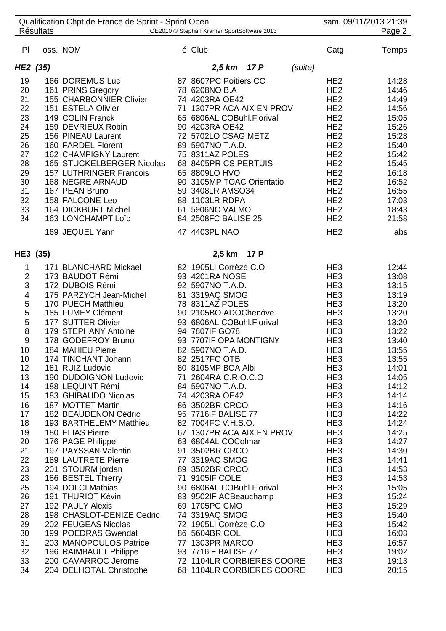| Qualification Chpt de France de Sprint - Sprint Open<br><b>Résultats</b><br>OE2010 © Stephan Krämer SportSoftware 2013 |  |                                            |  |                                                        |         | sam. 09/11/2013 21:39<br>Page 2    |                |
|------------------------------------------------------------------------------------------------------------------------|--|--------------------------------------------|--|--------------------------------------------------------|---------|------------------------------------|----------------|
| PI                                                                                                                     |  | oss. NOM                                   |  | é Club                                                 |         | Catg.                              | Temps          |
| HE2 (35)                                                                                                               |  |                                            |  | 2,5 km 17 P                                            | (suite) |                                    |                |
| 19                                                                                                                     |  | 166 DOREMUS Luc                            |  | 87 8607PC Poitiers CO                                  |         | HE <sub>2</sub>                    | 14:28          |
| 20                                                                                                                     |  | 161 PRINS Gregory                          |  | 78 6208NO B.A                                          |         | HE <sub>2</sub>                    | 14:46          |
| 21                                                                                                                     |  | 155 CHARBONNIER Olivier                    |  | 74 4203RA OE42                                         |         | HE <sub>2</sub>                    | 14:49          |
| 22                                                                                                                     |  | 151 ESTELA Olivier                         |  | 71 1307PR ACA AIX EN PROV                              |         | HE <sub>2</sub>                    | 14:56          |
| 23                                                                                                                     |  | 149 COLIN Franck                           |  | 65 6806AL COBuhl.Florival                              |         | HE <sub>2</sub>                    | 15:05          |
| 24                                                                                                                     |  | 159 DEVRIEUX Robin                         |  | 90 4203RA OE42                                         |         | HE <sub>2</sub>                    | 15:26          |
| 25                                                                                                                     |  | 156 PINEAU Laurent                         |  | 72 5702LO CSAG METZ                                    |         | HE <sub>2</sub>                    | 15:28          |
| 26                                                                                                                     |  | 160 FARDEL Florent                         |  | 89 5907NO T.A.D.                                       |         | HE <sub>2</sub>                    | 15:40          |
| 27                                                                                                                     |  | 162 CHAMPIGNY Laurent                      |  | 75 8311AZ POLES                                        |         | HE <sub>2</sub>                    | 15:42          |
| 28                                                                                                                     |  | 165 STUCKELBERGER Nicolas                  |  | 68 8405PR CS PERTUIS                                   |         | HE <sub>2</sub>                    | 15:45          |
| 29                                                                                                                     |  | 157 LUTHRINGER Francois                    |  | 65 8809LO HVO                                          |         | HE <sub>2</sub>                    | 16:18          |
| 30                                                                                                                     |  | <b>168 NEGRE ARNAUD</b>                    |  | 90 3105MP TOAC Orientatio                              |         | HE <sub>2</sub>                    | 16:52          |
| 31                                                                                                                     |  | 167 PEAN Bruno                             |  | 59 3408LR AMSO34                                       |         | HE <sub>2</sub>                    | 16:55          |
| 32                                                                                                                     |  | 158 FALCONE Leo                            |  | 88 1103LR RDPA                                         |         | HE <sub>2</sub>                    | 17:03          |
| 33                                                                                                                     |  | 164 DICKBURT Michel                        |  | 61 5906NO VALMO                                        |         | HE <sub>2</sub>                    | 18:43          |
| 34                                                                                                                     |  | 163 LONCHAMPT Loïc                         |  | 84 2508FC BALISE 25                                    |         | HE <sub>2</sub>                    | 21:58          |
|                                                                                                                        |  | 169 JEQUEL Yann                            |  | 47 4403PL NAO                                          |         | HE <sub>2</sub>                    | abs            |
|                                                                                                                        |  |                                            |  |                                                        |         |                                    |                |
| HE3 (35)                                                                                                               |  |                                            |  | 17 P<br>2,5 km                                         |         |                                    |                |
| 1                                                                                                                      |  | 171 BLANCHARD Mickael                      |  | 82 1905LI Corrèze C.O                                  |         | HE <sub>3</sub>                    | 12:44          |
| $\overline{c}$                                                                                                         |  | 173 BAUDOT Rémi                            |  | 93 4201RA NOSE                                         |         | HE <sub>3</sub>                    | 13:08          |
| 3                                                                                                                      |  | 172 DUBOIS Rémi                            |  | 92 5907NO T.A.D.                                       |         | HE <sub>3</sub>                    | 13:15          |
| 4                                                                                                                      |  | 175 PARZYCH Jean-Michel                    |  | 81 3319AQ SMOG                                         |         | HE <sub>3</sub>                    | 13:19          |
| 5                                                                                                                      |  | 170 PUECH Matthieu                         |  | 78 8311AZ POLES                                        |         | HE <sub>3</sub>                    | 13:20          |
| 5                                                                                                                      |  | 185 FUMEY Clément                          |  | 90 2105BO ADOChenôve                                   |         | HE <sub>3</sub>                    | 13:20          |
| 5                                                                                                                      |  | 177 SUTTER Olivier<br>179 STEPHANY Antoine |  | 93 6806AL COBuhl.Florival                              |         | HE <sub>3</sub>                    | 13:20          |
| 8<br>9                                                                                                                 |  | 178 GODEFROY Bruno                         |  | 94 7807IF GO78<br>93 7707IF OPA MONTIGNY               |         | HE <sub>3</sub><br>HE <sub>3</sub> | 13:22<br>13:40 |
| 10                                                                                                                     |  | 184 MAHIEU Pierre                          |  | 82 5907NO T.A.D.                                       |         | HE <sub>3</sub>                    | 13:55          |
| 10                                                                                                                     |  | 174 TINCHANT Johann                        |  | 82 2517FC OTB                                          |         | HE <sub>3</sub>                    | 13:55          |
| 12                                                                                                                     |  | 181 RUIZ Ludovic                           |  | 80 8105MP BOA Albi                                     |         | HE <sub>3</sub>                    | 14:01          |
| 13                                                                                                                     |  | 190 DUDOIGNON Ludovic                      |  | 71 2604RA C.R.O.C.O                                    |         | HE <sub>3</sub>                    | 14:05          |
| 14                                                                                                                     |  | 188 LEQUINT Rémi                           |  | 84 5907NO T.A.D.                                       |         | HE <sub>3</sub>                    | 14:12          |
| 15                                                                                                                     |  | 183 GHIBAUDO Nicolas                       |  | 74 4203RA OE42                                         |         | HE <sub>3</sub>                    | 14:14          |
| 16                                                                                                                     |  | 187 MOTTET Martin                          |  | 86 3502BR CRCO                                         |         | HE <sub>3</sub>                    | 14:16          |
| 17                                                                                                                     |  | 182 BEAUDENON Cédric                       |  | 95 7716IF BALISE 77                                    |         | HE <sub>3</sub>                    | 14:22          |
| 18                                                                                                                     |  | 193 BARTHELEMY Matthieu                    |  | 82 7004FC V.H.S.O.                                     |         | HE <sub>3</sub>                    | 14:24          |
| 19                                                                                                                     |  | 180 ELIAS Pierre                           |  | 67 1307PR ACA AIX EN PROV                              |         | HE <sub>3</sub>                    | 14:25          |
| 20                                                                                                                     |  | 176 PAGE Philippe                          |  | 63 6804AL COColmar                                     |         | HE <sub>3</sub>                    | 14:27          |
| 21                                                                                                                     |  | 197 PAYSSAN Valentin                       |  | 91 3502BR CRCO                                         |         | HE <sub>3</sub>                    | 14:30          |
| 22                                                                                                                     |  | <b>189 LAUTRETE Pierre</b>                 |  | 77 3319AQ SMOG                                         |         | HE <sub>3</sub>                    | 14:41          |
| 23                                                                                                                     |  | 201 STOURM jordan                          |  | 89 3502BR CRCO                                         |         | HE <sub>3</sub>                    | 14:53          |
| 23                                                                                                                     |  | 186 BESTEL Thierry                         |  | 71 9105IF COLE                                         |         | HE <sub>3</sub>                    | 14:53          |
| 25                                                                                                                     |  | 194 DOLCI Mathias                          |  | 90 6806AL COBuhl.Florival                              |         | HE <sub>3</sub>                    | 15:05          |
| 26                                                                                                                     |  | 191 THURIOT Kévin                          |  | 83 9502IF ACBeauchamp                                  |         | HE <sub>3</sub>                    | 15:24          |
| 27                                                                                                                     |  | 192 PAULY Alexis                           |  | 69 1705PC CMO                                          |         | HE <sub>3</sub>                    | 15:29          |
| 28                                                                                                                     |  | 198 CHASLOT-DENIZE Cedric                  |  | 74 3319AQ SMOG                                         |         | HE <sub>3</sub>                    | 15:40          |
| 29                                                                                                                     |  | 202 FEUGEAS Nicolas                        |  | 72 1905LI Corrèze C.O                                  |         | HE <sub>3</sub>                    | 15:42          |
| 30                                                                                                                     |  | 199 POEDRAS Gwendal                        |  | 86 5604BR COL                                          |         | HE <sub>3</sub>                    | 16:03          |
| 31                                                                                                                     |  | 203 MANOPOULOS Patrice                     |  | 77 1303PR MARCO                                        |         | HE <sub>3</sub>                    | 16:57          |
| 32<br>33                                                                                                               |  | 196 RAIMBAULT Philippe                     |  | 93 7716IF BALISE 77                                    |         | HE <sub>3</sub>                    | 19:02          |
| 34                                                                                                                     |  | 200 CAVARROC Jerome                        |  | 72 1104LR CORBIERES COORE<br>68 1104LR CORBIERES COORE |         | HE <sub>3</sub><br>HE <sub>3</sub> | 19:13<br>20:15 |
|                                                                                                                        |  | 204 DELHOTAL Christophe                    |  |                                                        |         |                                    |                |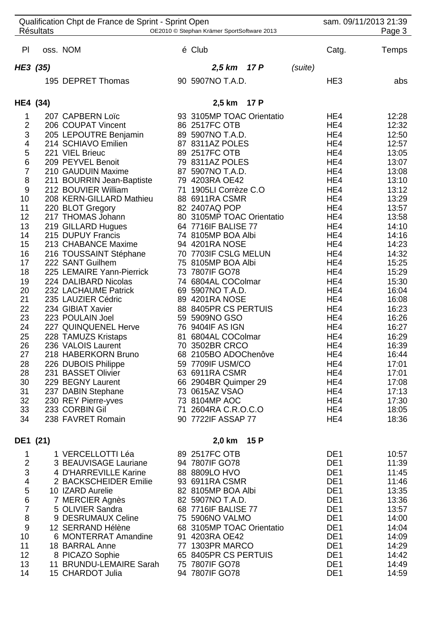|                               | <b>Résultats</b> | Qualification Chpt de France de Sprint - Sprint Open | OE2010 © Stephan Krämer SportSoftware 2013 |      |         |                                    | sam. 09/11/2013 21:39<br>Page 3 |
|-------------------------------|------------------|------------------------------------------------------|--------------------------------------------|------|---------|------------------------------------|---------------------------------|
| PI                            |                  | oss. NOM                                             | é Club                                     |      |         | Catg.                              | Temps                           |
| HE3 (35)                      |                  |                                                      | 2,5 km 17 P                                |      | (suite) |                                    |                                 |
|                               |                  | 195 DEPRET Thomas                                    | 90 5907NO T.A.D.                           |      |         | HE <sub>3</sub>                    | abs                             |
| HE4 (34)                      |                  |                                                      | 2,5 km 17 P                                |      |         |                                    |                                 |
| 1                             |                  | 207 CAPBERN Loïc                                     | 93 3105MP TOAC Orientatio                  |      |         | HE4                                | 12:28                           |
| $\overline{\mathbf{c}}$       |                  | 206 COUPAT Vincent                                   | 86 2517FC OTB                              |      |         | HE4                                | 12:32                           |
| 3                             |                  | 205 LEPOUTRE Benjamin                                | 89 5907NO T.A.D.                           |      |         | HE4                                | 12:50                           |
| $\overline{\mathbf{4}}$       |                  | 214 SCHIAVO Emilien<br>221 VIEL Brieuc               | 87 8311AZ POLES<br>89 2517FC OTB           |      |         | HE4<br>HE4                         | 12:57<br>13:05                  |
| $\frac{5}{6}$                 |                  | 209 PEYVEL Benoit                                    | 79 8311AZ POLES                            |      |         | HE4                                | 13:07                           |
| $\overline{7}$                |                  | 210 GAUDUIN Maxime                                   | 87 5907NO T.A.D.                           |      |         | HE4                                | 13:08                           |
| 8                             |                  | 211 BOURRIN Jean-Baptiste                            | 79 4203RA OE42                             |      |         | HE4                                | 13:10                           |
| $9\,$                         |                  | 212 BOUVIER William                                  | 71 1905LI Corrèze C.O                      |      |         | HE4                                | 13:12                           |
| 10                            |                  | 208 KERN-GILLARD Mathieu                             | 88 6911RA CSMR                             |      |         | HE4                                | 13:29                           |
| 11                            |                  | 220 BLOT Gregory                                     | 82 2407AQ POP                              |      |         | HE4                                | 13:57                           |
| 12                            |                  | 217 THOMAS Johann                                    | 80 3105MP TOAC Orientatio                  |      |         | HE4                                | 13:58                           |
| 13                            |                  | 219 GILLARD Hugues                                   | 64 7716IF BALISE 77                        |      |         | HE4                                | 14:10                           |
| 14                            |                  | 215 DUPUY Francis                                    | 74 8105MP BOA Albi                         |      |         | HE4                                | 14:16                           |
| 15                            |                  | 213 CHABANCE Maxime                                  | 94 4201RA NOSE<br>70 7703IF CSLG MELUN     |      |         | HE4<br>HE4                         | 14:23<br>14:32                  |
| 16<br>17                      |                  | 216 TOUSSAINT Stéphane<br>222 SANT Guilhem           | 75 8105MP BOA Albi                         |      |         | HE4                                | 15:25                           |
| 18                            |                  | 225 LEMAIRE Yann-Pierrick                            | 73 7807IF GO78                             |      |         | HE4                                | 15:29                           |
| 19                            |                  | 224 DALIBARD Nicolas                                 | 74 6804AL COColmar                         |      |         | HE4                                | 15:30                           |
| 20                            |                  | 232 LACHAUME Patrick                                 | 69 5907NO T.A.D.                           |      |         | HE4                                | 16:04                           |
| 21                            |                  | 235 LAUZIER Cédric                                   | 89 4201RA NOSE                             |      |         | HE4                                | 16:08                           |
| 22                            |                  | 234 GIBIAT Xavier                                    | 88 8405PR CS PERTUIS                       |      |         | HE4                                | 16:23                           |
| 23                            |                  | 223 POULAIN Joel                                     | 59 5909NO GSO                              |      |         | HE4                                | 16:26                           |
| 24                            |                  | 227 QUINQUENEL Herve                                 | 76 9404IF AS IGN                           |      |         | HE4                                | 16:27                           |
| 25                            |                  | 228 TAMUZS Kristaps                                  | 81 6804AL COColmar                         |      |         | HE4                                | 16:29                           |
| 26<br>27                      |                  | 236 VALOIS Laurent<br>218 HABERKORN Bruno            | 70 3502BR CRCO<br>68 2105BO ADOChenôve     |      |         | HE4<br>HE4                         | 16:39<br>16:44                  |
| 28                            |                  | 226 DUBOIS Philippe                                  | 59 7709IF USM/CO                           |      |         | HE4                                | 17:01                           |
| 28                            |                  | 231 BASSET Olivier                                   | 63 6911RA CSMR                             |      |         | HE4                                | 17:01                           |
| 30                            |                  | 229 BEGNY Laurent                                    | 66 2904BR Quimper 29                       |      |         | HE4                                | 17:08                           |
| 31                            |                  | 237 DABIN Stephane                                   | 73 0615AZ VSAO                             |      |         | HE4                                | 17:13                           |
| 32                            |                  | 230 REY Pierre-yves                                  | 73 8104MP AOC                              |      |         | HE4                                | 17:30                           |
| 33                            |                  | 233 CORBIN Gil                                       | 71 2604RA C.R.O.C.O                        |      |         | HE4                                | 18:05                           |
| 34                            |                  | 238 FAVRET Romain                                    | 90 7722IF ASSAP 77                         |      |         | HE4                                | 18:36                           |
| DE1 (21)                      |                  |                                                      | 2,0 km                                     | 15 P |         |                                    |                                 |
| 1                             |                  | 1 VERCELLOTTI Léa                                    | 89 2517FC OTB                              |      |         | DE <sub>1</sub>                    | 10:57                           |
| $\overline{2}$                |                  | 3 BEAUVISAGE Lauriane                                | 94 7807IF GO78                             |      |         | DE <sub>1</sub>                    | 11:39                           |
| 3                             |                  | 4 D'HARREVILLE Karine                                | 88 8809LO HVO                              |      |         | DE <sub>1</sub>                    | 11:45                           |
| $\frac{4}{5}$                 |                  | 2 BACKSCHEIDER Emilie                                | 93 6911RA CSMR                             |      |         | DE <sub>1</sub>                    | 11:46                           |
|                               |                  | 10 IZARD Aurelie                                     | 82 8105MP BOA Albi                         |      |         | DE <sub>1</sub>                    | 13:35                           |
| $\,$ 6 $\,$<br>$\overline{7}$ |                  | 7 MERCIER Agnès<br>5 OLIVIER Sandra                  | 82 5907NO T.A.D.<br>68 7716IF BALISE 77    |      |         | DE <sub>1</sub><br>DE <sub>1</sub> | 13:36<br>13:57                  |
| 8                             |                  | 9 DESRUMAUX Celine                                   | 75 5906NO VALMO                            |      |         | DE <sub>1</sub>                    | 14:00                           |
| $9\,$                         |                  | 12 SERRAND Hélène                                    | 68 3105MP TOAC Orientatio                  |      |         | DE <sub>1</sub>                    | 14:04                           |
| 10                            |                  | 6 MONTERRAT Amandine                                 | 91 4203RA OE42                             |      |         | DE <sub>1</sub>                    | 14:09                           |
| 11                            |                  | 18 BARRAL Anne                                       | 77 1303PR MARCO                            |      |         | DE <sub>1</sub>                    | 14:29                           |
| 12                            |                  | 8 PICAZO Sophie                                      | 65 8405PR CS PERTUIS                       |      |         | DE <sub>1</sub>                    | 14:42                           |
| 13                            |                  | 11 BRUNDU-LEMAIRE Sarah                              | 75 7807IF GO78                             |      |         | DE <sub>1</sub>                    | 14:49                           |
| 14                            |                  | 15 CHARDOT Julia                                     | 94 7807IF GO78                             |      |         | DE <sub>1</sub>                    | 14:59                           |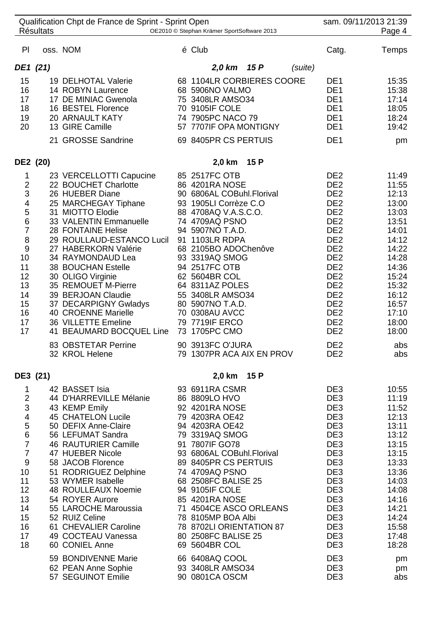|                                                                                                                                                                                   | <b>Résultats</b> | Qualification Chpt de France de Sprint - Sprint Open                                                                                                                                                                                                                                                                                                                                                                                                                         | OE2010 © Stephan Krämer SportSoftware 2013                                                                                                                                                                                                                                                                                                                                                                                           |                                                                                                                                                                                                                                                                                                                                                                                          | sam. 09/11/2013 21:39<br>Page 4                                                                                                                                              |
|-----------------------------------------------------------------------------------------------------------------------------------------------------------------------------------|------------------|------------------------------------------------------------------------------------------------------------------------------------------------------------------------------------------------------------------------------------------------------------------------------------------------------------------------------------------------------------------------------------------------------------------------------------------------------------------------------|--------------------------------------------------------------------------------------------------------------------------------------------------------------------------------------------------------------------------------------------------------------------------------------------------------------------------------------------------------------------------------------------------------------------------------------|------------------------------------------------------------------------------------------------------------------------------------------------------------------------------------------------------------------------------------------------------------------------------------------------------------------------------------------------------------------------------------------|------------------------------------------------------------------------------------------------------------------------------------------------------------------------------|
| PI                                                                                                                                                                                |                  | oss. NOM                                                                                                                                                                                                                                                                                                                                                                                                                                                                     | é Club                                                                                                                                                                                                                                                                                                                                                                                                                               | Catg.                                                                                                                                                                                                                                                                                                                                                                                    | Temps                                                                                                                                                                        |
|                                                                                                                                                                                   | DE1 (21)         |                                                                                                                                                                                                                                                                                                                                                                                                                                                                              | 2,0 km 15 P<br>(suite)                                                                                                                                                                                                                                                                                                                                                                                                               |                                                                                                                                                                                                                                                                                                                                                                                          |                                                                                                                                                                              |
| 15<br>16<br>17<br>18<br>19<br>20                                                                                                                                                  |                  | 19 DELHOTAL Valerie<br>14 ROBYN Laurence<br>17 DE MINIAC Gwenola<br>16 BESTEL Florence<br><b>20 ARNAULT KATY</b><br>13 GIRE Camille<br>21 GROSSE Sandrine                                                                                                                                                                                                                                                                                                                    | 68 1104LR CORBIERES COORE<br>68 5906NO VALMO<br>75 3408LR AMSO34<br>70 9105IF COLE<br>74 7905PC NACO 79<br>57 7707IF OPA MONTIGNY<br>69 8405PR CS PERTUIS                                                                                                                                                                                                                                                                            | DE <sub>1</sub><br>DE <sub>1</sub><br>DE <sub>1</sub><br>DE <sub>1</sub><br>DE <sub>1</sub><br>DE <sub>1</sub><br>DE <sub>1</sub>                                                                                                                                                                                                                                                        | 15:35<br>15:38<br>17:14<br>18:05<br>18:24<br>19:42<br>pm                                                                                                                     |
|                                                                                                                                                                                   |                  |                                                                                                                                                                                                                                                                                                                                                                                                                                                                              |                                                                                                                                                                                                                                                                                                                                                                                                                                      |                                                                                                                                                                                                                                                                                                                                                                                          |                                                                                                                                                                              |
| DE2 (20)<br>1<br>$\overline{\mathbf{c}}$<br>3<br>$\overline{\mathbf{4}}$<br>5<br>$\overline{6}$<br>$\overline{7}$<br>8<br>9<br>10<br>11<br>12<br>13<br>14<br>15<br>16<br>17<br>17 |                  | 23 VERCELLOTTI Capucine<br>22 BOUCHET Charlotte<br>26 HUEBER Diane<br>25 MARCHEGAY Tiphane<br>31 MIOTTO Elodie<br>33 VALENTIN Emmanuelle<br>28 FONTAINE Helise<br>29 ROULLAUD-ESTANCO Lucil<br>27 HABERKORN Valérie<br>34 RAYMONDAUD Lea<br>38 BOUCHAN Estelle<br>30 OLIGO Virginie<br>35 REMOUET M-Pierre<br>39 BERJOAN Claudie<br>37 DECARPIGNY Gwladys<br>40 CROENNE Marielle<br>36 VILLETTE Emeline<br>41 BEAUMARD BOCQUEL Line<br>83 OBSTETAR Perrine<br>32 KROL Helene | 2,0 km<br>15 P<br>85 2517FC OTB<br>86 4201RA NOSE<br>90 6806AL COBuhl.Florival<br>93 1905LI Corrèze C.O<br>88 4708AQ V.A.S.C.O.<br>74 4709AQ PSNO<br>94 5907NO T.A.D.<br>91 1103LR RDPA<br>68 2105BO ADOChenôve<br>93 3319AQ SMOG<br>94 2517FC OTB<br>62 5604BR COL<br>64 8311AZ POLES<br>55 3408LR AMSO34<br>80 5907NO T.A.D.<br>70 0308AU AVCC<br>79 7719IF ERCO<br>73 1705PC CMO<br>90 3913FC O'JURA<br>79 1307PR ACA AIX EN PROV | DE <sub>2</sub><br>DE <sub>2</sub><br>DE <sub>2</sub><br>DE <sub>2</sub><br>DE <sub>2</sub><br>DE <sub>2</sub><br>DE <sub>2</sub><br>DE <sub>2</sub><br>DE <sub>2</sub><br>DE <sub>2</sub><br>DE <sub>2</sub><br>DE <sub>2</sub><br>DE <sub>2</sub><br>DE <sub>2</sub><br>DE <sub>2</sub><br>DE <sub>2</sub><br>DE <sub>2</sub><br>DE <sub>2</sub><br>DE <sub>2</sub><br>DE <sub>2</sub> | 11:49<br>11:55<br>12:13<br>13:00<br>13:03<br>13:51<br>14:01<br>14:12<br>14:22<br>14:28<br>14:36<br>15:24<br>15:32<br>16:12<br>16:57<br>17:10<br>18:00<br>18:00<br>abs<br>abs |
| DE3 (21)                                                                                                                                                                          |                  |                                                                                                                                                                                                                                                                                                                                                                                                                                                                              | 15 P<br>2,0 km                                                                                                                                                                                                                                                                                                                                                                                                                       |                                                                                                                                                                                                                                                                                                                                                                                          |                                                                                                                                                                              |
| 1<br>$\overline{2}$<br>34567<br>$\overline{7}$<br>$\boldsymbol{9}$<br>10<br>11<br>12<br>13<br>14<br>15<br>16<br>17<br>18                                                          |                  | 42 BASSET Isia<br>44 D'HARREVILLE Mélanie<br>43 KEMP Emily<br>45 CHATELON Lucile<br>50 DEFIX Anne-Claire<br>56 LEFUMAT Sandra<br>46 RAUTURIER Camille<br>47 HUEBER Nicole<br>58 JACOB Florence<br>51 RODRIGUEZ Delphine<br>53 WYMER Isabelle<br>48 ROULLEAUX Noemie<br>54 ROYER Aurore<br>55 LAROCHE Maroussia<br>52 RUIZ Celine<br>61 CHEVALIER Caroline<br>49 COCTEAU Vanessa<br>60 CONIEL Anne<br>59 BONDIVENNE Marie                                                     | 93 6911RA CSMR<br>86 8809LO HVO<br>92 4201RA NOSE<br>79 4203RA OE42<br>94 4203RA OE42<br>79 3319AQ SMOG<br>91 7807IF GO78<br>93 6806AL COBuhl.Florival<br>89 8405PR CS PERTUIS<br>74 4709AQ PSNO<br>68 2508FC BALISE 25<br>94 9105IF COLE<br>85 4201RA NOSE<br>71 4504CE ASCO ORLEANS<br>78 8105MP BOA Albi<br>78 8702LI ORIENTATION 87<br>80 2508FC BALISE 25<br>69 5604BR COL<br>66 6408AQ COOL                                    | DE3<br>DE3<br>DE3<br>DE3<br>DE3<br>DE3<br>DE3<br>DE3<br>DE3<br>DE3<br>DE3<br>DE3<br>DE3<br>DE3<br>DE3<br>DE3<br>DE3<br>DE3<br>DE <sub>3</sub>                                                                                                                                                                                                                                            | 10:55<br>11:19<br>11:52<br>12:13<br>13:11<br>13:12<br>13:15<br>13:15<br>13:33<br>13:36<br>14:03<br>14:08<br>14:16<br>14:21<br>14:24<br>15:58<br>17:48<br>18:28<br>pm         |
|                                                                                                                                                                                   |                  | 62 PEAN Anne Sophie<br>57 SEGUINOT Emilie                                                                                                                                                                                                                                                                                                                                                                                                                                    | 93 3408LR AMSO34<br>90 0801CA OSCM                                                                                                                                                                                                                                                                                                                                                                                                   | DE3<br>DE3                                                                                                                                                                                                                                                                                                                                                                               | pm<br>abs                                                                                                                                                                    |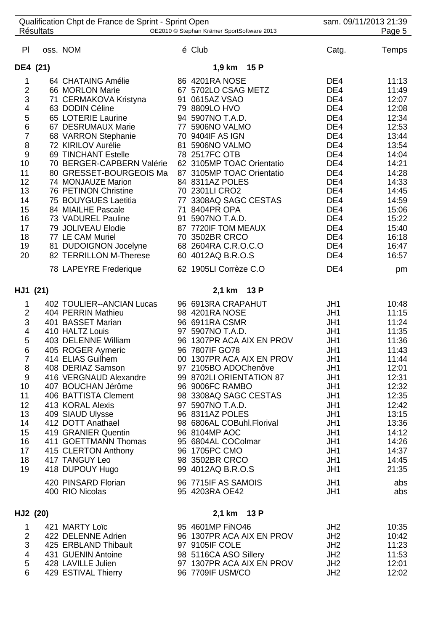| Qualification Chpt de France de Sprint - Sprint Open<br><b>Résultats</b>                                                                                     |          |                                                                                                                                                                                                                                                                                                                                                                                                                                                                          | OE2010 © Stephan Krämer SportSoftware 2013                                                                                                                                                                                                                                                                                                                                                                                                                         | sam. 09/11/2013 21:39<br>Page 5                                                                                                                 |                                                                                                                                                                                       |  |
|--------------------------------------------------------------------------------------------------------------------------------------------------------------|----------|--------------------------------------------------------------------------------------------------------------------------------------------------------------------------------------------------------------------------------------------------------------------------------------------------------------------------------------------------------------------------------------------------------------------------------------------------------------------------|--------------------------------------------------------------------------------------------------------------------------------------------------------------------------------------------------------------------------------------------------------------------------------------------------------------------------------------------------------------------------------------------------------------------------------------------------------------------|-------------------------------------------------------------------------------------------------------------------------------------------------|---------------------------------------------------------------------------------------------------------------------------------------------------------------------------------------|--|
| P                                                                                                                                                            |          | oss. NOM                                                                                                                                                                                                                                                                                                                                                                                                                                                                 | é Club                                                                                                                                                                                                                                                                                                                                                                                                                                                             | Catg.                                                                                                                                           | Temps                                                                                                                                                                                 |  |
|                                                                                                                                                              | DE4 (21) |                                                                                                                                                                                                                                                                                                                                                                                                                                                                          | 1,9 km 15 P                                                                                                                                                                                                                                                                                                                                                                                                                                                        |                                                                                                                                                 |                                                                                                                                                                                       |  |
| 1<br>$\frac{2}{3}$<br>$\overline{\mathbf{4}}$<br>$\frac{5}{6}$<br>$\overline{7}$<br>8<br>9<br>10<br>11<br>12<br>13<br>14<br>15<br>16<br>17<br>18<br>19<br>20 |          | 64 CHATAING Amélie<br>66 MORLON Marie<br>71 CERMAKOVA Kristyna<br>63 DODIN Céline<br>65 LOTERIE Laurine<br>67 DESRUMAUX Marie<br>68 VARRON Stephanie<br>72 KIRILOV Aurélie<br>69 TINCHANT Estelle<br>70 BERGER-CAPBERN Valérie<br>80 GRESSET-BOURGEOIS Ma<br>74 MONJAUZE Marion<br>76 PETINON Christine<br>75 BOUYGUES Laetitia<br>84 MIAILHE Pascale<br>73 VADUREL Pauline<br>79 JOLIVEAU Elodie<br>77 LE CAM Muriel<br>81 DUDOIGNON Jocelyne<br>82 TERRILLON M-Therese | 86 4201RA NOSE<br>67 5702LO CSAG METZ<br>91 0615AZ VSAO<br>79 8809LO HVO<br>94 5907NO T.A.D.<br>77 5906NO VALMO<br>70 9404IF AS IGN<br>81 5906NO VALMO<br>78 2517FC OTB<br>62 3105MP TOAC Orientatio<br>87 3105MP TOAC Orientatio<br>84 8311AZ POLES<br>70 2301LI CRO2<br>77 3308AQ SAGC CESTAS<br>71 8404PR OPA<br>91 5907NO T.A.D.<br>87 7720IF TOM MEAUX<br>70 3502BR CRCO<br>68 2604RA C.R.O.C.O<br>60 4012AQ B.R.O.S                                          | DE4<br>DE4<br>DE4<br>DE4<br>DE4<br>DE4<br>DE4<br>DE4<br>DE4<br>DE4<br>DE4<br>DE4<br>DE4<br>DE4<br>DE4<br>DE4<br>DE4<br>DE4<br>DE4<br>DE4        | 11:13<br>11:49<br>12:07<br>12:08<br>12:34<br>12:53<br>13:44<br>13:54<br>14:04<br>14:21<br>14:28<br>14:33<br>14:45<br>14:59<br>15:06<br>15:22<br>15:40<br>16:18<br>16:47<br>16:57      |  |
|                                                                                                                                                              |          | 78 LAPEYRE Frederique                                                                                                                                                                                                                                                                                                                                                                                                                                                    | 62 1905LI Corrèze C.O                                                                                                                                                                                                                                                                                                                                                                                                                                              | DE <sub>4</sub>                                                                                                                                 | pm                                                                                                                                                                                    |  |
| HJ1 (21)                                                                                                                                                     |          |                                                                                                                                                                                                                                                                                                                                                                                                                                                                          | 2,1 km 13 P                                                                                                                                                                                                                                                                                                                                                                                                                                                        |                                                                                                                                                 |                                                                                                                                                                                       |  |
| 1<br>$\overline{c}$<br>3<br>$\overline{\mathbf{4}}$<br>5<br>6<br>$\overline{7}$<br>8<br>$9$<br>10<br>11<br>12<br>13<br>14<br>15<br>16<br>17<br>18<br>19      |          | 402 TOULIER--ANCIAN Lucas<br>404 PERRIN Mathieu<br>401 BASSET Marian<br>410 HALTZ Louis<br>403 DELENNE William<br>405 ROGER Aymeric<br>414 ELIAS Guilhem<br>408 DERIAZ Samson<br>416 VERGNAUD Alexandre<br>407 BOUCHAN Jérôme<br>406 BATTISTA Clement<br>413 KORAL Alexis<br>409 SIAUD Ulysse<br>412 DOTT Anathael<br>419 GRANIER Quentin<br>411 GOETTMANN Thomas<br>415 CLERTON Anthony<br>417 TANGUY Leo<br>418 DUPOUY Hugo<br>420 PINSARD Florian<br>400 RIO Nicolas  | 96 6913RA CRAPAHUT<br>98 4201RA NOSE<br>96 6911RA CSMR<br>97 5907NO T.A.D.<br>96 1307PR ACA AIX EN PROV<br>96 7807IF GO78<br>00 1307PR ACA AIX EN PROV<br>97 2105BO ADOChenôve<br>99 8702LI ORIENTATION 87<br>96 9006FC RAMBO<br>98 3308AQ SAGC CESTAS<br>97 5907NO T.A.D.<br>96 8311AZ POLES<br>98 6806AL COBuhl.Florival<br>96 8104MP AOC<br>95 6804AL COColmar<br>96 1705PC CMO<br>98 3502BR CRCO<br>99 4012AQ B.R.O.S<br>96 7715IF AS SAMOIS<br>95 4203RA OE42 | JH1<br>JH1<br>JH1<br>JH1<br>JH1<br>JH1<br>JH1<br>JH1<br>JH1<br>JH1<br>JH1<br>JH1<br>JH1<br>JH1<br>JH1<br>JH1<br>JH1<br>JH1<br>JH1<br>JH1<br>JH1 | 10:48<br>11:15<br>11:24<br>11:35<br>11:36<br>11:43<br>11:44<br>12:01<br>12:31<br>12:32<br>12:35<br>12:42<br>13:15<br>13:36<br>14:12<br>14:26<br>14:37<br>14:45<br>21:35<br>abs<br>abs |  |
| HJ2 (20)                                                                                                                                                     |          |                                                                                                                                                                                                                                                                                                                                                                                                                                                                          | 2,1 km 13 P                                                                                                                                                                                                                                                                                                                                                                                                                                                        |                                                                                                                                                 |                                                                                                                                                                                       |  |
| 1<br>$\overline{2}$<br>3<br>4<br>5<br>6                                                                                                                      |          | 421 MARTY Loïc<br>422 DELENNE Adrien<br>425 ERBLAND Thibault<br>431 GUENIN Antoine<br>428 LAVILLE Julien<br>429 ESTIVAL Thierry                                                                                                                                                                                                                                                                                                                                          | 95 4601MP FINO46<br>96 1307PR ACA AIX EN PROV<br>97 9105IF COLE<br>98 5116CA ASO Sillery<br>97 1307PR ACA AIX EN PROV<br>96 7709IF USM/CO                                                                                                                                                                                                                                                                                                                          | JH <sub>2</sub><br>JH <sub>2</sub><br>JH <sub>2</sub><br>JH <sub>2</sub><br>JH <sub>2</sub><br>JH <sub>2</sub>                                  | 10:35<br>10:42<br>11:23<br>11:53<br>12:01<br>12:02                                                                                                                                    |  |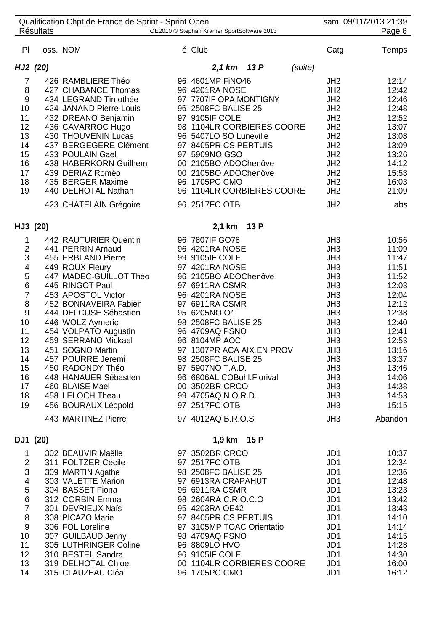|                                                                                                                                                         | <b>Résultats</b> | Qualification Chpt de France de Sprint - Sprint Open                                                                                                                                                                                                                                                                                                                                                                                                   | OE2010 © Stephan Krämer SportSoftware 2013                                                                                                                                                                                                                                                                                                                                                                                  |         |                                                                                                                                                                                                                                                | sam. 09/11/2013 21:39<br>Page 6                                                                                                                                                    |
|---------------------------------------------------------------------------------------------------------------------------------------------------------|------------------|--------------------------------------------------------------------------------------------------------------------------------------------------------------------------------------------------------------------------------------------------------------------------------------------------------------------------------------------------------------------------------------------------------------------------------------------------------|-----------------------------------------------------------------------------------------------------------------------------------------------------------------------------------------------------------------------------------------------------------------------------------------------------------------------------------------------------------------------------------------------------------------------------|---------|------------------------------------------------------------------------------------------------------------------------------------------------------------------------------------------------------------------------------------------------|------------------------------------------------------------------------------------------------------------------------------------------------------------------------------------|
| P <sub>1</sub>                                                                                                                                          |                  | oss. NOM                                                                                                                                                                                                                                                                                                                                                                                                                                               | é Club                                                                                                                                                                                                                                                                                                                                                                                                                      |         | Catg.                                                                                                                                                                                                                                          | Temps                                                                                                                                                                              |
|                                                                                                                                                         | HJ2 (20)         |                                                                                                                                                                                                                                                                                                                                                                                                                                                        | 2,1 km 13 P                                                                                                                                                                                                                                                                                                                                                                                                                 | (suite) |                                                                                                                                                                                                                                                |                                                                                                                                                                                    |
| $\overline{7}$<br>8<br>$\boldsymbol{9}$<br>10<br>11<br>12<br>13<br>14<br>15<br>16<br>17<br>18<br>19                                                     |                  | 426 RAMBLIERE Théo<br>427 CHABANCE Thomas<br>434 LEGRAND Timothée<br>424 JANAND Pierre-Louis<br>432 DREANO Benjamin<br>436 CAVARROC Hugo<br>430 THOUVENIN Lucas<br>437 BERGEGERE Clément<br>433 POULAIN Gael<br>438 HABERKORN Guilhem<br>439 DERIAZ Roméo<br>435 BERGER Maxime<br>440 DELHOTAL Nathan<br>423 CHATELAIN Grégoire                                                                                                                        | 96 4601MP FINO46<br>96 4201RA NOSE<br>97 7707IF OPA MONTIGNY<br>96 2508FC BALISE 25<br>97 9105IF COLE<br>98 1104LR CORBIERES COORE<br>96 5407LO SO Luneville<br>97 8405PR CS PERTUIS<br>97 5909NO GSO<br>00 2105BO ADOChenôve<br>00 2105BO ADOChenôve<br>96 1705PC CMO<br>96 1104LR CORBIERES COORE<br>96 2517FC OTB                                                                                                        |         | JH <sub>2</sub><br>JH <sub>2</sub><br>JH <sub>2</sub><br>JH <sub>2</sub><br>JH <sub>2</sub><br>JH <sub>2</sub><br>JH <sub>2</sub><br>JH <sub>2</sub><br>JH2<br>JH <sub>2</sub><br>JH2<br>JH <sub>2</sub><br>JH <sub>2</sub><br>JH <sub>2</sub> | 12:14<br>12:42<br>12:46<br>12:48<br>12:52<br>13:07<br>13:08<br>13:09<br>13:26<br>14:12<br>15:53<br>16:03<br>21:09<br>abs                                                           |
|                                                                                                                                                         | HJ3 (20)         |                                                                                                                                                                                                                                                                                                                                                                                                                                                        | 13 P<br>2,1 km                                                                                                                                                                                                                                                                                                                                                                                                              |         |                                                                                                                                                                                                                                                |                                                                                                                                                                                    |
| 1<br>$\overline{\mathbf{c}}$<br>3<br>4<br>5<br>6<br>$\overline{7}$<br>8<br>$\boldsymbol{9}$<br>10<br>11<br>12<br>13<br>14<br>15<br>16<br>17<br>18<br>19 |                  | 442 RAUTURIER Quentin<br>441 PERRIN Arnaud<br>455 ERBLAND Pierre<br>449 ROUX Fleury<br>447 MADEC-GUILLOT Théo<br>445 RINGOT Paul<br>453 APOSTOL Victor<br>452 BONNAVEIRA Fabien<br>444 DELCUSE Sébastien<br>446 WOLZ Aymeric<br>454 VOLPATO Augustin<br>459 SERRANO Mickael<br>451 SOGNO Martin<br>457 POURRE Jeremi<br>450 RADONDY Théo<br>448 HANAUER Sébastien<br>460 BLAISE Mael<br>458 LELOCH Theau<br>456 BOURAUX Léopold<br>443 MARTINEZ Pierre | 96 7807IF GO78<br>96 4201RA NOSE<br>99 9105IF COLE<br>97 4201RA NOSE<br>96 2105BO ADOChenôve<br>97 6911RA CSMR<br>96 4201RA NOSE<br>97 6911RA CSMR<br>95 6205NO O <sup>2</sup><br>98 2508FC BALISE 25<br>96 4709AQ PSNO<br>96 8104MP AOC<br>97 1307PR ACA AIX EN PROV<br>98 2508FC BALISE 25<br>97 5907NO T.A.D.<br>96 6806AL COBuhl.Florival<br>00 3502BR CRCO<br>99 4705AQ N.O.R.D.<br>97 2517FC OTB<br>97 4012AQ B.R.O.S |         | JH3<br>JH3<br>JH3<br>JH3<br>JH3<br>JH3<br>JH3<br>JH3<br>JH3<br>JH3<br>JH3<br>JH3<br>JH3<br>JH3<br>JH3<br>JH3<br>JH3<br>JH3<br>JH3<br>JH3                                                                                                       | 10:56<br>11:09<br>11:47<br>11:51<br>11:52<br>12:03<br>12:04<br>12:12<br>12:38<br>12:40<br>12:41<br>12:53<br>13:16<br>13:37<br>13:46<br>14:06<br>14:38<br>14:53<br>15:15<br>Abandon |
|                                                                                                                                                         | DJ1 (20)         |                                                                                                                                                                                                                                                                                                                                                                                                                                                        | 1,9 km 15 P                                                                                                                                                                                                                                                                                                                                                                                                                 |         |                                                                                                                                                                                                                                                |                                                                                                                                                                                    |
| 1<br>$\overline{2}$<br>3<br>4<br>5<br>$\frac{6}{7}$<br>8<br>$\boldsymbol{9}$<br>10<br>11<br>12<br>13<br>14                                              |                  | 302 BEAUVIR Maëlle<br>311 FOLTZER Cécile<br>309 MARTIN Agathe<br>303 VALETTE Marion<br>304 BASSET Fiona<br>312 CORBIN Emma<br>301 DEVRIEUX Naïs<br>308 PICAZO Marie<br>306 FOL Loreline<br>307 GUILBAUD Jenny<br>305 LUTHRINGER Coline<br>310 BESTEL Sandra<br>319 DELHOTAL Chloe<br>315 CLAUZEAU Cléa                                                                                                                                                 | 97 3502BR CRCO<br>97 2517FC OTB<br>98 2508FC BALISE 25<br>97 6913RA CRAPAHUT<br>96 6911RA CSMR<br>98 2604RA C.R.O.C.O<br>95 4203RA OE42<br>97 8405PR CS PERTUIS<br>97 3105MP TOAC Orientatio<br>98 4709AQ PSNO<br>96 8809LO HVO<br>96 9105IF COLE<br>00 1104LR CORBIERES COORE<br>96 1705PC CMO                                                                                                                             |         | JD1<br>JD1<br>JD <sub>1</sub><br>JD <sub>1</sub><br>JD <sub>1</sub><br>JD <sub>1</sub><br>JD <sub>1</sub><br>JD <sub>1</sub><br>JD <sub>1</sub><br>JD <sub>1</sub><br>JD1<br>JD <sub>1</sub><br>JD <sub>1</sub><br>JD1                         | 10:37<br>12:34<br>12:36<br>12:48<br>13:23<br>13:42<br>13:43<br>14:10<br>14:14<br>14:15<br>14:28<br>14:30<br>16:00<br>16:12                                                         |